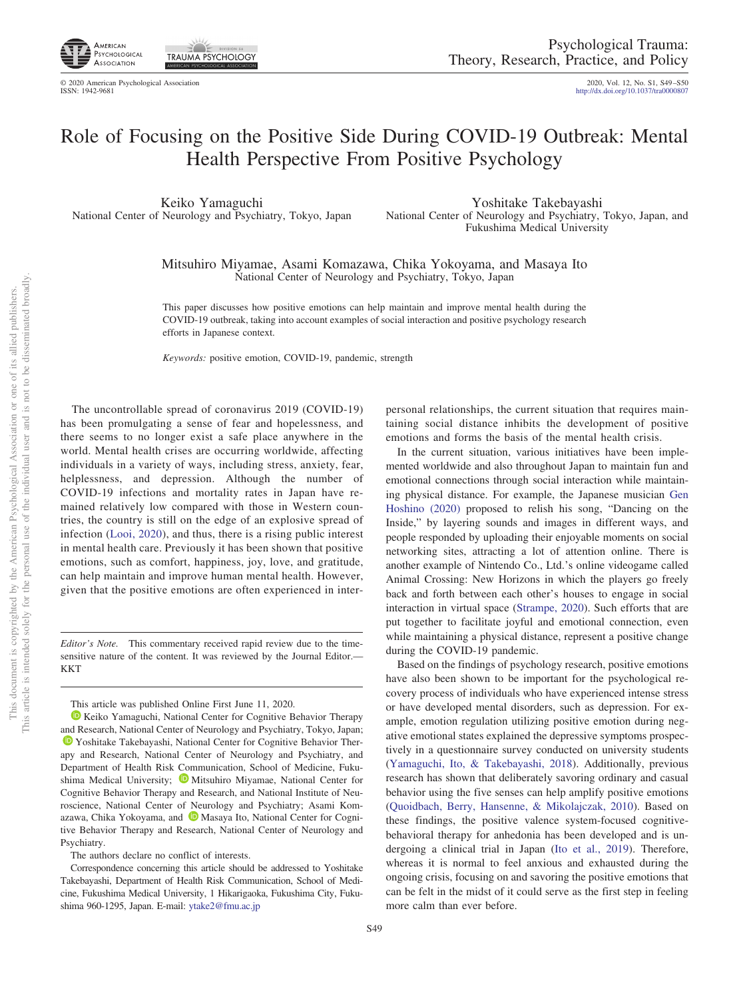

₹≧ **TRAUMA PSYCHOLOGY** 

http://dx.doi.org[/10.1037/tra0000807](http://dx.doi.org/10.1037/tra0000807)

## Role of Focusing on the Positive Side During COVID-19 Outbreak: Mental Health Perspective From Positive Psychology

Keiko Yamaguchi National Center of Neurology and Psychiatry, Tokyo, Japan

Yoshitake Takebayashi National Center of Neurology and Psychiatry, Tokyo, Japan, and Fukushima Medical University

Mitsuhiro Miyamae, Asami Komazawa, Chika Yokoyama, and Masaya Ito National Center of Neurology and Psychiatry, Tokyo, Japan

This paper discusses how positive emotions can help maintain and improve mental health during the COVID-19 outbreak, taking into account examples of social interaction and positive psychology research efforts in Japanese context.

*Keywords:* positive emotion, COVID-19, pandemic, strength

The uncontrollable spread of coronavirus 2019 (COVID-19) has been promulgating a sense of fear and hopelessness, and there seems to no longer exist a safe place anywhere in the world. Mental health crises are occurring worldwide, affecting individuals in a variety of ways, including stress, anxiety, fear, helplessness, and depression. Although the number of COVID-19 infections and mortality rates in Japan have remained relatively low compared with those in Western countries, the country is still on the edge of an explosive spread of infection [\(Looi, 2020\)](#page-1-0), and thus, there is a rising public interest in mental health care. Previously it has been shown that positive emotions, such as comfort, happiness, joy, love, and gratitude, can help maintain and improve human mental health. However, given that the positive emotions are often experienced in inter-

*Editor's Note.* This commentary received rapid review due to the timesensitive nature of the content. It was reviewed by the Journal Editor.— KKT

This article was published Online First June 11, 2020.

**EXECO Yamaguchi, National Center for Cognitive Behavior Therapy** and Research, National Center of Neurology and Psychiatry, Tokyo, Japan; **D** [Yoshitake Takebayashi,](https://orcid.org/0000-0002-6366-0087) National Center for Cognitive Behavior Therapy and Research, National Center of Neurology and Psychiatry, and Department of Health Risk Communication, School of Medicine, Fukushima Medical University; **D** [Mitsuhiro Miyamae,](https://orcid.org/0000-0002-3963-767X) National Center for Cognitive Behavior Therapy and Research, and National Institute of Neuroscience, National Center of Neurology and Psychiatry; Asami Kom-azawa, Chika Yokoyama, and <sup>1</sup> [Masaya Ito,](https://orcid.org/0000-0003-2295-9733) National Center for Cognitive Behavior Therapy and Research, National Center of Neurology and Psychiatry.

The authors declare no conflict of interests.

one of its allied publishers.

 $\overleftarrow{\mathrm{O}}$ 

personal relationships, the current situation that requires maintaining social distance inhibits the development of positive emotions and forms the basis of the mental health crisis.

In the current situation, various initiatives have been implemented worldwide and also throughout Japan to maintain fun and emotional connections through social interaction while maintaining physical distance. For example, the Japanese musician [Gen](#page-1-1) [Hoshino \(2020\)](#page-1-1) proposed to relish his song, "Dancing on the Inside," by layering sounds and images in different ways, and people responded by uploading their enjoyable moments on social networking sites, attracting a lot of attention online. There is another example of Nintendo Co., Ltd.'s online videogame called Animal Crossing: New Horizons in which the players go freely back and forth between each other's houses to engage in social interaction in virtual space [\(Strampe, 2020\)](#page-1-2). Such efforts that are put together to facilitate joyful and emotional connection, even while maintaining a physical distance, represent a positive change during the COVID-19 pandemic.

Based on the findings of psychology research, positive emotions have also been shown to be important for the psychological recovery process of individuals who have experienced intense stress or have developed mental disorders, such as depression. For example, emotion regulation utilizing positive emotion during negative emotional states explained the depressive symptoms prospectively in a questionnaire survey conducted on university students [\(Yamaguchi, Ito, & Takebayashi, 2018\)](#page-1-3). Additionally, previous research has shown that deliberately savoring ordinary and casual behavior using the five senses can help amplify positive emotions [\(Quoidbach, Berry, Hansenne, & Mikolajczak, 2010\)](#page-1-4). Based on these findings, the positive valence system-focused cognitivebehavioral therapy for anhedonia has been developed and is undergoing a clinical trial in Japan [\(Ito et al., 2019\)](#page-1-5). Therefore, whereas it is normal to feel anxious and exhausted during the ongoing crisis, focusing on and savoring the positive emotions that can be felt in the midst of it could serve as the first step in feeling more calm than ever before.

Correspondence concerning this article should be addressed to Yoshitake Takebayashi, Department of Health Risk Communication, School of Medicine, Fukushima Medical University, 1 Hikarigaoka, Fukushima City, Fukushima 960-1295, Japan. E-mail: [ytake2@fmu.ac.jp](mailto:ytake2@fmu.ac.jp)